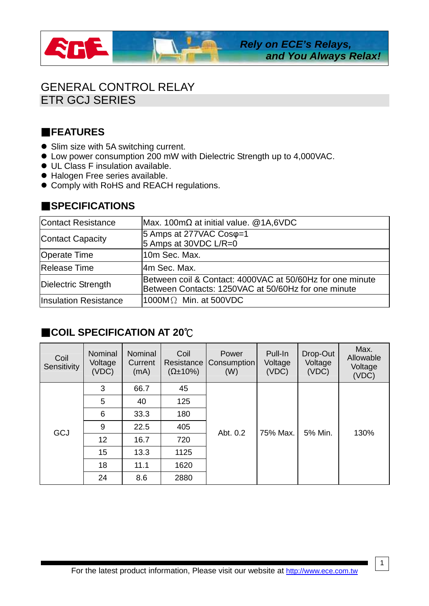

## GENERAL CONTROL RELAY ETR GCJ SERIES

## **FEATURES**

- Slim size with 5A switching current.
- Low power consumption 200 mW with Dielectric Strength up to 4,000VAC.
- UL Class F insulation available.
- Halogen Free series available.
- Comply with RoHS and REACH regulations.

## **SPECIFICATIONS**

| <b>Contact Resistance</b>    | Max. 100m $\Omega$ at initial value. @1A,6VDC                                                                    |
|------------------------------|------------------------------------------------------------------------------------------------------------------|
| <b>Contact Capacity</b>      | $ 5 \text{ Amps}$ at 277VAC Cos $\varphi$ =1<br>5 Amps at 30VDC L/R=0                                            |
| <b>Operate Time</b>          | 10m Sec. Max.                                                                                                    |
| Release Time                 | l4m Sec. Max.                                                                                                    |
| Dielectric Strength          | Between coil & Contact: 4000VAC at 50/60Hz for one minute<br>Between Contacts: 1250VAC at 50/60Hz for one minute |
| <b>Insulation Resistance</b> | $1000M\Omega$ Min. at 500VDC                                                                                     |

## ■COIL SPECIFICATION AT 20℃

| Coil<br>Sensitivity | <b>Nominal</b><br>Voltage<br>(VDC) | <b>Nominal</b><br>Current<br>(mA) | Coil<br>Resistance<br>$(\Omega \pm 10\%)$ | Power<br>Consumption<br>(W) | Pull-In<br>Voltage<br>(VDC) | Drop-Out<br>Voltage<br>(VDC) | Max.<br>Allowable<br>Voltage<br>(VDC) |
|---------------------|------------------------------------|-----------------------------------|-------------------------------------------|-----------------------------|-----------------------------|------------------------------|---------------------------------------|
| <b>GCJ</b>          | 3                                  | 66.7                              | 45                                        | Abt. 0.2                    | 75% Max.                    | 5% Min.                      | 130%                                  |
|                     | 5                                  | 40                                | 125                                       |                             |                             |                              |                                       |
|                     | 6                                  | 33.3                              | 180                                       |                             |                             |                              |                                       |
|                     | 9                                  | 22.5                              | 405                                       |                             |                             |                              |                                       |
|                     | 12 <sup>2</sup>                    | 16.7                              | 720                                       |                             |                             |                              |                                       |
|                     | 15                                 | 13.3                              | 1125                                      |                             |                             |                              |                                       |
|                     | 18                                 | 11.1                              | 1620                                      |                             |                             |                              |                                       |
|                     | 24                                 | 8.6                               | 2880                                      |                             |                             |                              |                                       |

1